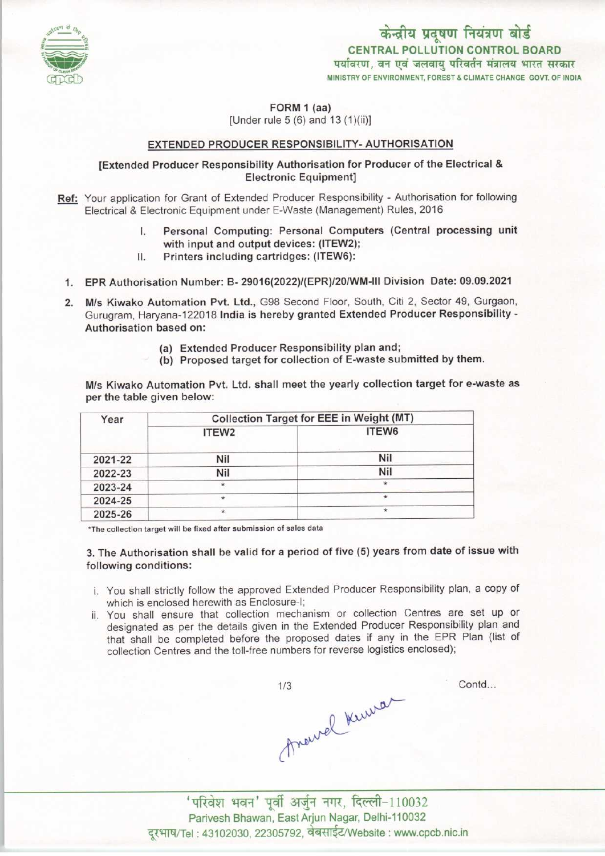

FORM 1 (aa)

[Under rule 5 (6) and 13 (1)(ii)]

# EXTENDED PRODUCER RESPONSIBILITY- AUTHORISATION

## [Extended Producer Responsibility Authorisation for Producer of the Electrical & Electronic Equipment]

- Ref: Your application for Grant of Extended Producer Responsibility Authorisation for following
	- Electrical & Electronic Equipment under E-Waste (Management) Rules, 2016<br>
	I. Personal Computing: Personal Computers (Central processing unit with input and output devices: (ITEW2); I. Personal Computing: Personal Computers (Central processing unit with input and output devices: (ITEW2);<br>II. Printers including cartridges: (ITEW6):
		-
- 1.EPR Authorisation Number: B- 29016<2022)/(EPR)/20/WM-lll Division Date: 09.09.2021
- 2. M/s Kiwako Automation Pvt. Ltd., G98 Second Floor, South, Citi 2, Sector 49, Gurgaon, Gurugram, Haryana-122018 India is hereby granted Extended Producer Responsibility -Authorisation based on:
	- (a)Extended Producer Responsibility plan and;
	- (b) Proposed target for collection of E-waste submitted by them.

M/s Kiwako Automation Pvt. Ltd. shall meet the yearly collection target for e-waste as per the table given below:

| Year    | Collection Target for EEE in Weight (MT) |         |
|---------|------------------------------------------|---------|
|         | ITEW <sub>2</sub>                        | ITEW6   |
| 2021-22 | Nil                                      | Nil     |
| 2022-23 | Nil                                      | Nil     |
| 2023-24 |                                          | $\star$ |
| 2024-25 | $\star$                                  | $\star$ |
| 2025-26 | ÷                                        | $\star$ |

\*The collection target will be fixed after submission of sales data

3. The Authorisation shall be valid for a period of five (5) years from date of issue with following conditions:

- i. You shall strictly follow the approved Extended Producer Responsibility plan, a copy of which is enclosed herewith as Enclosure-I;
- ii. You shall ensure that collection mechanism or collection Centres are set up or designated as per the details given in the Extended Producer Responsibility plan and that shall be completed before the proposed dates if any in the EPR Plan (list of collection Centres and the toll-free numbers for reverse logistics enclosed);

 $1/3$ thewel Kima

Contd...

 $'$ परिवेश भवन' पूर्वी अर्जुन नगर, दिल्ली-110032 Parivesh Bhawan, East Arjun Nagar, Delhi-110032 दूरभाष/Tel: 43102030, 22305792, वेबसाईट/Website : www.cpcb.nic.in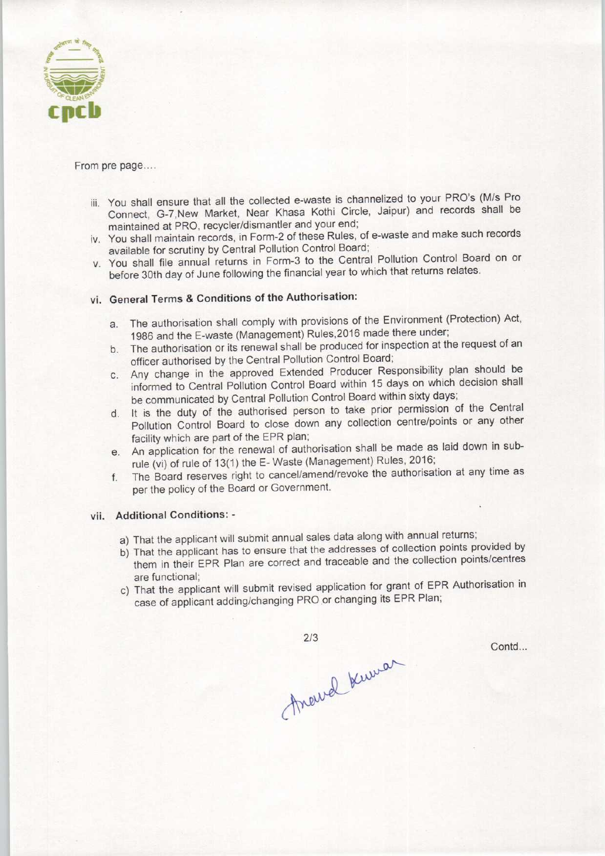

#### From pre page..,.

- iii. You shall ensure that all the collected e-waste is channelized to your PRO's(M/s Pro Connect, G-7,New Market, Near Khasa Kothi Circle, Jaipur) and records shall be maintained at PRO, recycler/dismantler and your end;
- iv. You shall maintain records, in Form-2 of these Rules, of e-waste and make such records available for scrutiny by Central Pollution Control Board;
- v. You shall file annual returns in Form-3 to the Central Pollution Control Board on or before 30th day of June following the financial year to which that returns relates.

# vi. General Terms & Conditions of the Authorisation:

- a.The authorisation shall comply with provisions of the Environment (Protection) Act, 1986 and the E-waste (Management) Rules,2016 made there under;
- b. The authorisation or its renewal shall be produced for inspection at the request of an officer authorised by the Central Pollution Control Board;
- c.Any change in the approved Extended Producer Responsibility plan should be informed to Central Pollution Control Board within 15 days on which decision shall be communicated by Central Pollution Control Board within sixty days;
- d. It is the duty of the authorised person to take prior permission of the Central Pollution Control Board to close down any collection centre/points or any other facility which are part of the EPR plan;
- e. An application for the renewal of authorisation shall be made as laid down in subrule (vi) of rule of 13(1) the E-Waste (Management) Rules, 2016;
- f. The Board reserves right to cancel/amend/revoke the authorisation at any time as per the policy of the Board or Government.

## vii. Additional Conditions: -

- a) That the applicant will submit annual sales data along with annual returns;
- b) That the applicant has to ensure that the addresses of collection points provided by them in their EPR Plan are correct and traceable and the collection points/centres are functional;
- c) That the applicant will submit revised application for grant of EPR Authorisation in case of applicant adding/changing PRO or changing its EPR Plan;

 $2/3$ Around Kuman

Contd...